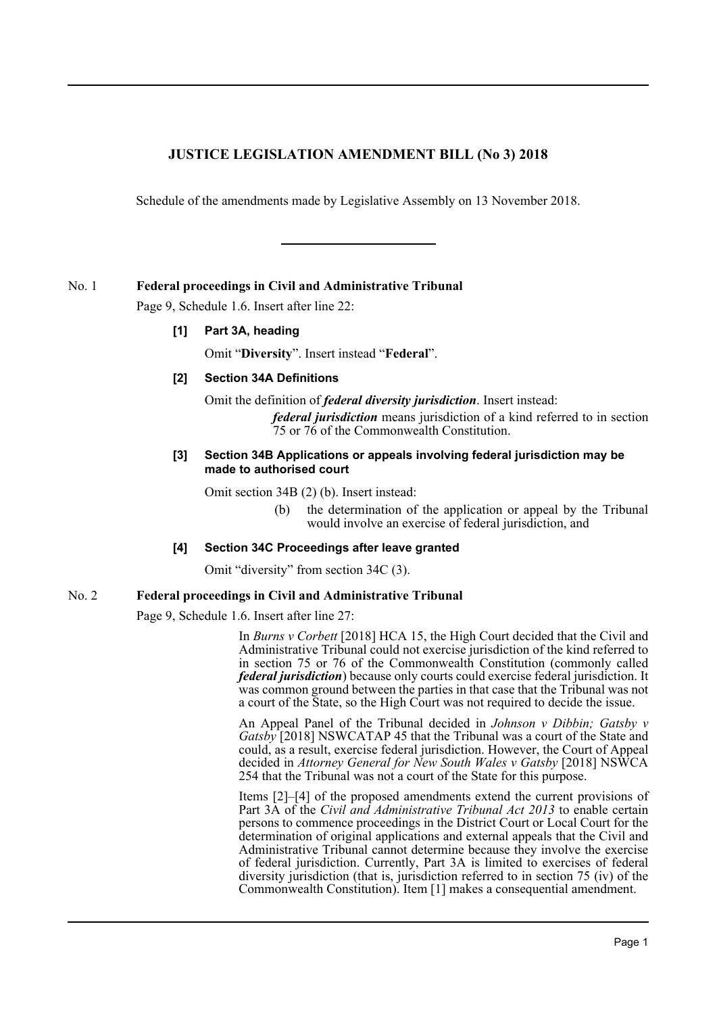# **JUSTICE LEGISLATION AMENDMENT BILL (No 3) 2018**

Schedule of the amendments made by Legislative Assembly on 13 November 2018.

No. 1 **Federal proceedings in Civil and Administrative Tribunal**

Page 9, Schedule 1.6. Insert after line 22:

## **[1] Part 3A, heading**

Omit "**Diversity**". Insert instead "**Federal**".

## **[2] Section 34A Definitions**

Omit the definition of *federal diversity jurisdiction*. Insert instead: *federal jurisdiction* means jurisdiction of a kind referred to in section 75 or 76 of the Commonwealth Constitution.

#### **[3] Section 34B Applications or appeals involving federal jurisdiction may be made to authorised court**

Omit section 34B (2) (b). Insert instead:

(b) the determination of the application or appeal by the Tribunal would involve an exercise of federal jurisdiction, and

#### **[4] Section 34C Proceedings after leave granted**

Omit "diversity" from section 34C (3).

#### No. 2 **Federal proceedings in Civil and Administrative Tribunal**

Page 9, Schedule 1.6. Insert after line 27:

In *Burns v Corbett* [2018] HCA 15, the High Court decided that the Civil and Administrative Tribunal could not exercise jurisdiction of the kind referred to in section 75 or 76 of the Commonwealth Constitution (commonly called *federal jurisdiction*) because only courts could exercise federal jurisdiction. It was common ground between the parties in that case that the Tribunal was not a court of the State, so the High Court was not required to decide the issue.

An Appeal Panel of the Tribunal decided in *Johnson v Dibbin; Gatsby v Gatsby* [2018] NSWCATAP 45 that the Tribunal was a court of the State and could, as a result, exercise federal jurisdiction. However, the Court of Appeal decided in *Attorney General for New South Wales v Gatsby* [2018] NSWCA 254 that the Tribunal was not a court of the State for this purpose.

Items [2]–[4] of the proposed amendments extend the current provisions of Part 3A of the *Civil and Administrative Tribunal Act 2013* to enable certain persons to commence proceedings in the District Court or Local Court for the determination of original applications and external appeals that the Civil and Administrative Tribunal cannot determine because they involve the exercise of federal jurisdiction. Currently, Part 3A is limited to exercises of federal diversity jurisdiction (that is, jurisdiction referred to in section 75 (iv) of the Commonwealth Constitution). Item [1] makes a consequential amendment.